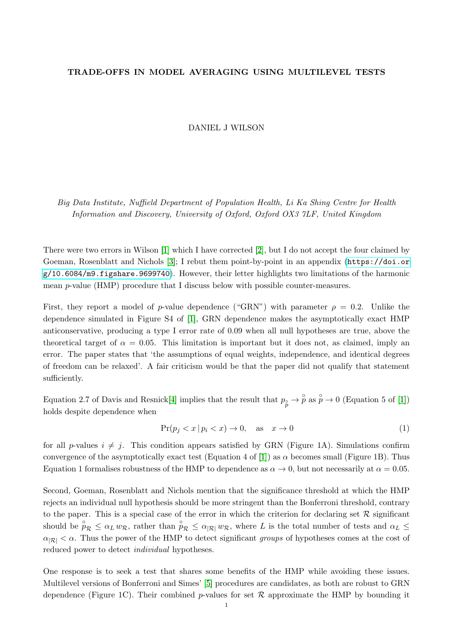## TRADE-OFFS IN MODEL AVERAGING USING MULTILEVEL TESTS

DANIEL J WILSON

Big Data Institute, Nuffield Department of Population Health, Li Ka Shing Centre for Health Information and Discovery, University of Oxford, Oxford OX3 7LF, United Kingdom

There were two errors in Wilson [\[1\]](#page-1-0) which I have corrected [\[2\]](#page-1-1), but I do not accept the four claimed by Goeman, Rosenblatt and Nichols [\[3\]](#page-1-2); I rebut them point-by-point in an appendix ([https://doi.or](https://doi.org/10.6084/m9.figshare.9699740) [g/10.6084/m9.figshare.9699740](https://doi.org/10.6084/m9.figshare.9699740)). However, their letter highlights two limitations of the harmonic mean  $p$ -value (HMP) procedure that I discuss below with possible counter-measures.

First, they report a model of p-value dependence ("GRN") with parameter  $\rho = 0.2$ . Unlike the dependence simulated in Figure S4 of [\[1\]](#page-1-0), GRN dependence makes the asymptotically exact HMP anticonservative, producing a type I error rate of 0.09 when all null hypotheses are true, above the theoretical target of  $\alpha = 0.05$ . This limitation is important but it does not, as claimed, imply an error. The paper states that 'the assumptions of equal weights, independence, and identical degrees of freedom can be relaxed'. A fair criticism would be that the paper did not qualify that statement sufficiently.

Equation 2.7 of Davis and Resnick[\[4\]](#page-1-3) implies that the result that  $p_{\hat{p}} \to \hat{p}$  as  $\hat{p} \to 0$  (Equation 5 of [\[1\]](#page-1-0)) holds despite dependence when

$$
\Pr(p_j < x \mid p_i < x) \to 0, \quad \text{as} \quad x \to 0 \tag{1}
$$

for all p-values  $i \neq j$ . This condition appears satisfied by GRN (Figure 1A). Simulations confirm convergence of the asymptotically exact test (Equation 4 of [\[1\]](#page-1-0)) as  $\alpha$  becomes small (Figure 1B). Thus Equation 1 formalises robustness of the HMP to dependence as  $\alpha \to 0$ , but not necessarily at  $\alpha = 0.05$ .

Second, Goeman, Rosenblatt and Nichols mention that the significance threshold at which the HMP rejects an individual null hypothesis should be more stringent than the Bonferroni threshold, contrary to the paper. This is a special case of the error in which the criterion for declaring set  $\mathcal R$  significant should be  $\hat{p}_R \leq \alpha_L w_R$ , rather than  $\hat{p}_R \leq \alpha_{R} w_R$ , where L is the total number of tests and  $\alpha_L \leq$  $\alpha_{R} < \alpha$ . Thus the power of the HMP to detect significant groups of hypotheses comes at the cost of reduced power to detect individual hypotheses.

One response is to seek a test that shares some benefits of the HMP while avoiding these issues. Multilevel versions of Bonferroni and Simes' [\[5\]](#page-1-4) procedures are candidates, as both are robust to GRN dependence (Figure 1C). Their combined p-values for set  $\mathcal R$  approximate the HMP by bounding it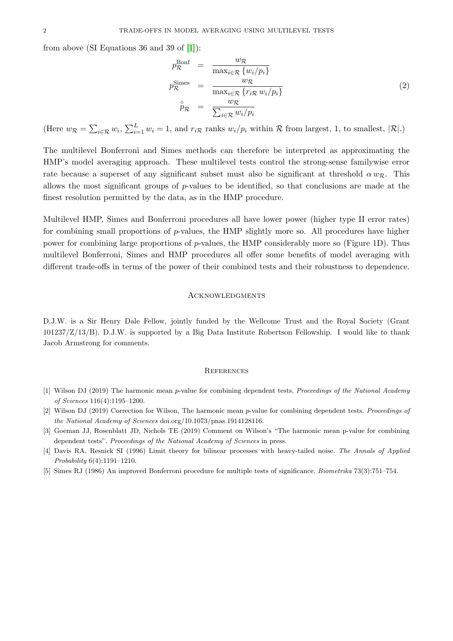from above (SI Equations 36 and 39 of [\[1\]](#page-1-0)):

$$
p_{\mathcal{R}}^{\text{Bonf}} = \frac{w_{\mathcal{R}}}{\max_{i \in \mathcal{R}} \{w_i/p_i\}}
$$
  
\n
$$
p_{\mathcal{R}}^{\text{Simes}} = \frac{w_{\mathcal{R}}}{\max_{i \in \mathcal{R}} \{r_{i\mathcal{R}} w_i/p_i\}}
$$
  
\n
$$
\hat{p}_{\mathcal{R}} = \frac{w_{\mathcal{R}}}{\sum_{i \in \mathcal{R}} w_i/p_i}
$$
\n(2)

(Here  $w_{\mathcal{R}} = \sum_{i \in \mathcal{R}} w_i$ ,  $\sum_{i=1}^L w_i = 1$ , and  $r_{i\mathcal{R}}$  ranks  $w_i/p_i$  within  $\mathcal{R}$  from largest, 1, to smallest,  $|\mathcal{R}|$ .)

The multilevel Bonferroni and Simes methods can therefore be interpreted as approximating the HMP's model averaging approach. These multilevel tests control the strong-sense familywise error rate because a superset of any significant subset must also be significant at threshold  $\alpha w_{\mathcal{R}}$ . This allows the most significant groups of p-values to be identified, so that conclusions are made at the finest resolution permitted by the data, as in the HMP procedure.

Multilevel HMP, Simes and Bonferroni procedures all have lower power (higher type II error rates) for combining small proportions of  $p$ -values, the HMP slightly more so. All procedures have higher power for combining large proportions of p-values, the HMP considerably more so (Figure 1D). Thus multilevel Bonferroni, Simes and HMP procedures all offer some benefits of model averaging with different trade-offs in terms of the power of their combined tests and their robustness to dependence.

## **ACKNOWLEDGMENTS**

D.J.W. is a Sir Henry Dale Fellow, jointly funded by the Wellcome Trust and the Royal Society (Grant 101237/Z/13/B). D.J.W. is supported by a Big Data Institute Robertson Fellowship. I would like to thank Jacob Armstrong for comments.

## **REFERENCES**

- <span id="page-1-0"></span>[1] Wilson DJ (2019) The harmonic mean p-value for combining dependent tests. Proceedings of the National Academy of Sciences 116(4):1195–1200.
- <span id="page-1-1"></span>[2] Wilson DJ (2019) Correction for Wilson, The harmonic mean p-value for combining dependent tests. Proceedings of the National Academy of Sciences doi.org/10.1073/pnas.1914128116.
- <span id="page-1-2"></span>[3] Goeman JJ, Rosenblatt JD, Nichols TE (2019) Comment on Wilson's "The harmonic mean p-value for combining dependent tests". Proceedings of the National Academy of Sciences in press.
- <span id="page-1-3"></span>[4] Davis RA, Resnick SI (1996) Limit theory for bilinear processes with heavy-tailed noise. The Annals of Applied Probability 6(4):1191–1210.
- <span id="page-1-4"></span>[5] Simes RJ (1986) An improved Bonferroni procedure for multiple tests of significance. Biometrika 73(3):751–754.